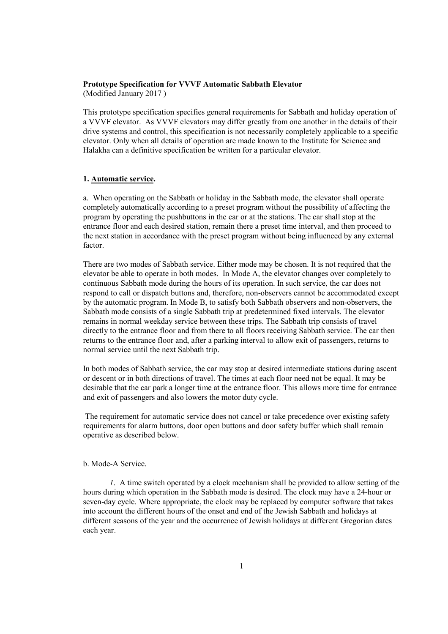#### **Prototype Specification for VVVF Automatic Sabbath Elevator**

(Modified January 2017 )

This prototype specification specifies general requirements for Sabbath and holiday operation of a VVVF elevator. As VVVF elevators may differ greatly from one another in the details of their drive systems and control, this specification is not necessarily completely applicable to a specific elevator. Only when all details of operation are made known to the Institute for Science and Halakha can a definitive specification be written for a particular elevator.

### **1. Automatic service.**

a. When operating on the Sabbath or holiday in the Sabbath mode, the elevator shall operate completely automatically according to a preset program without the possibility of affecting the program by operating the pushbuttons in the car or at the stations. The car shall stop at the entrance floor and each desired station, remain there a preset time interval, and then proceed to the next station in accordance with the preset program without being influenced by any external factor.

There are two modes of Sabbath service. Either mode may be chosen. It is not required that the elevator be able to operate in both modes. In Mode A, the elevator changes over completely to continuous Sabbath mode during the hours of its operation. In such service, the car does not respond to call or dispatch buttons and, therefore, non-observers cannot be accommodated except by the automatic program. In Mode B, to satisfy both Sabbath observers and non-observers, the Sabbath mode consists of a single Sabbath trip at predetermined fixed intervals. The elevator remains in normal weekday service between these trips. The Sabbath trip consists of travel directly to the entrance floor and from there to all floors receiving Sabbath service. The car then returns to the entrance floor and, after a parking interval to allow exit of passengers, returns to normal service until the next Sabbath trip.

In both modes of Sabbath service, the car may stop at desired intermediate stations during ascent or descent or in both directions of travel. The times at each floor need not be equal. It may be desirable that the car park a longer time at the entrance floor. This allows more time for entrance and exit of passengers and also lowers the motor duty cycle.

 The requirement for automatic service does not cancel or take precedence over existing safety requirements for alarm buttons, door open buttons and door safety buffer which shall remain operative as described below.

# b. Mode-A Service.

 *1*. A time switch operated by a clock mechanism shall be provided to allow setting of the hours during which operation in the Sabbath mode is desired. The clock may have a 24-hour or seven-day cycle. Where appropriate, the clock may be replaced by computer software that takes into account the different hours of the onset and end of the Jewish Sabbath and holidays at different seasons of the year and the occurrence of Jewish holidays at different Gregorian dates each year.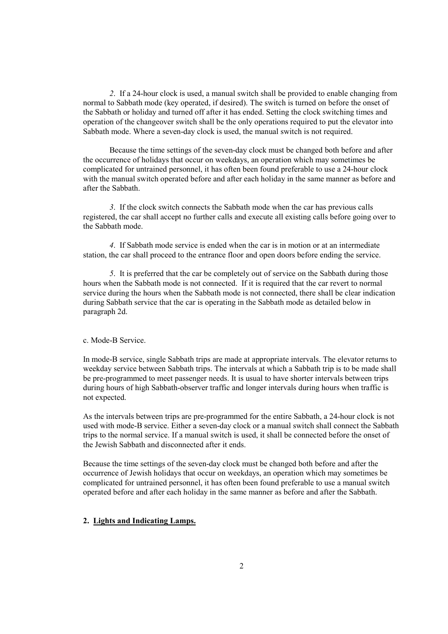*2*. If a 24-hour clock is used, a manual switch shall be provided to enable changing from normal to Sabbath mode (key operated, if desired). The switch is turned on before the onset of the Sabbath or holiday and turned off after it has ended. Setting the clock switching times and operation of the changeover switch shall be the only operations required to put the elevator into Sabbath mode. Where a seven-day clock is used, the manual switch is not required.

 Because the time settings of the seven-day clock must be changed both before and after the occurrence of holidays that occur on weekdays, an operation which may sometimes be complicated for untrained personnel, it has often been found preferable to use a 24-hour clock with the manual switch operated before and after each holiday in the same manner as before and after the Sabbath.

 *3*. If the clock switch connects the Sabbath mode when the car has previous calls registered, the car shall accept no further calls and execute all existing calls before going over to the Sabbath mode.

 *4*. If Sabbath mode service is ended when the car is in motion or at an intermediate station, the car shall proceed to the entrance floor and open doors before ending the service.

 *5*. It is preferred that the car be completely out of service on the Sabbath during those hours when the Sabbath mode is not connected. If it is required that the car revert to normal service during the hours when the Sabbath mode is not connected, there shall be clear indication during Sabbath service that the car is operating in the Sabbath mode as detailed below in paragraph 2d.

#### c. Mode-B Service.

In mode-B service, single Sabbath trips are made at appropriate intervals. The elevator returns to weekday service between Sabbath trips. The intervals at which a Sabbath trip is to be made shall be pre-programmed to meet passenger needs. It is usual to have shorter intervals between trips during hours of high Sabbath-observer traffic and longer intervals during hours when traffic is not expected.

As the intervals between trips are pre-programmed for the entire Sabbath, a 24-hour clock is not used with mode-B service. Either a seven-day clock or a manual switch shall connect the Sabbath trips to the normal service. If a manual switch is used, it shall be connected before the onset of the Jewish Sabbath and disconnected after it ends.

Because the time settings of the seven-day clock must be changed both before and after the occurrence of Jewish holidays that occur on weekdays, an operation which may sometimes be complicated for untrained personnel, it has often been found preferable to use a manual switch operated before and after each holiday in the same manner as before and after the Sabbath.

# **2. Lights and Indicating Lamps.**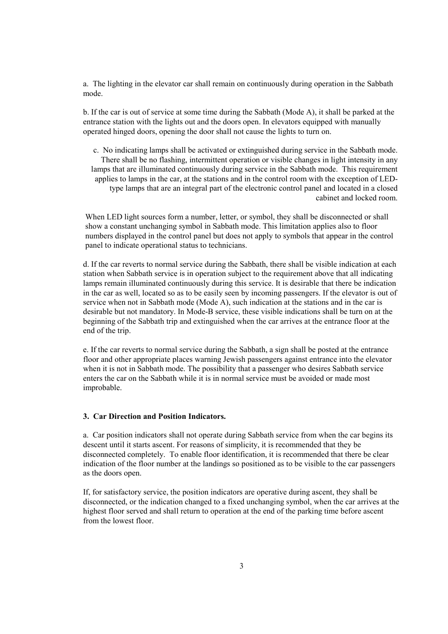a. The lighting in the elevator car shall remain on continuously during operation in the Sabbath mode.

b. If the car is out of service at some time during the Sabbath (Mode A), it shall be parked at the entrance station with the lights out and the doors open. In elevators equipped with manually operated hinged doors, opening the door shall not cause the lights to turn on.

c. No indicating lamps shall be activated or extinguished during service in the Sabbath mode. There shall be no flashing, intermittent operation or visible changes in light intensity in any lamps that are illuminated continuously during service in the Sabbath mode. This requirement applies to lamps in the car, at the stations and in the control room with the exception of LEDtype lamps that are an integral part of the electronic control panel and located in a closed cabinet and locked room.

When LED light sources form a number, letter, or symbol, they shall be disconnected or shall show a constant unchanging symbol in Sabbath mode. This limitation applies also to floor numbers displayed in the control panel but does not apply to symbols that appear in the control panel to indicate operational status to technicians.

d. If the car reverts to normal service during the Sabbath, there shall be visible indication at each station when Sabbath service is in operation subject to the requirement above that all indicating lamps remain illuminated continuously during this service. It is desirable that there be indication in the car as well, located so as to be easily seen by incoming passengers. If the elevator is out of service when not in Sabbath mode (Mode A), such indication at the stations and in the car is desirable but not mandatory. In Mode-B service, these visible indications shall be turn on at the beginning of the Sabbath trip and extinguished when the car arrives at the entrance floor at the end of the trip.

e. If the car reverts to normal service during the Sabbath, a sign shall be posted at the entrance floor and other appropriate places warning Jewish passengers against entrance into the elevator when it is not in Sabbath mode. The possibility that a passenger who desires Sabbath service enters the car on the Sabbath while it is in normal service must be avoided or made most improbable.

### **3. Car Direction and Position Indicators.**

a. Car position indicators shall not operate during Sabbath service from when the car begins its descent until it starts ascent. For reasons of simplicity, it is recommended that they be disconnected completely. To enable floor identification, it is recommended that there be clear indication of the floor number at the landings so positioned as to be visible to the car passengers as the doors open.

If, for satisfactory service, the position indicators are operative during ascent, they shall be disconnected, or the indication changed to a fixed unchanging symbol, when the car arrives at the highest floor served and shall return to operation at the end of the parking time before ascent from the lowest floor.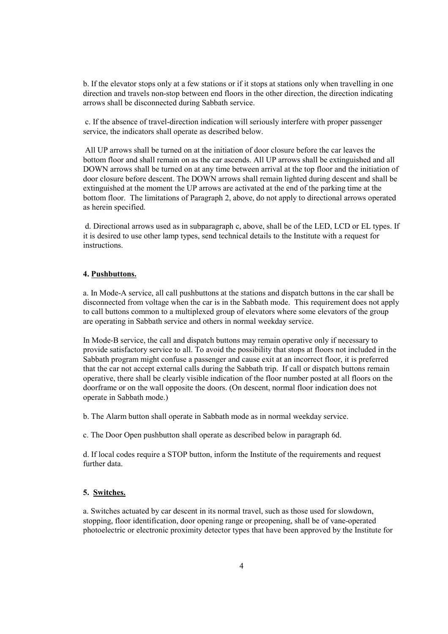b. If the elevator stops only at a few stations or if it stops at stations only when travelling in one direction and travels non-stop between end floors in the other direction, the direction indicating arrows shall be disconnected during Sabbath service.

 c. If the absence of travel-direction indication will seriously interfere with proper passenger service, the indicators shall operate as described below.

 All UP arrows shall be turned on at the initiation of door closure before the car leaves the bottom floor and shall remain on as the car ascends. All UP arrows shall be extinguished and all DOWN arrows shall be turned on at any time between arrival at the top floor and the initiation of door closure before descent. The DOWN arrows shall remain lighted during descent and shall be extinguished at the moment the UP arrows are activated at the end of the parking time at the bottom floor. The limitations of Paragraph 2, above, do not apply to directional arrows operated as herein specified.

 d. Directional arrows used as in subparagraph c, above, shall be of the LED, LCD or EL types. If it is desired to use other lamp types, send technical details to the Institute with a request for instructions.

### **4. Pushbuttons.**

a. In Mode-A service, all call pushbuttons at the stations and dispatch buttons in the car shall be disconnected from voltage when the car is in the Sabbath mode. This requirement does not apply to call buttons common to a multiplexed group of elevators where some elevators of the group are operating in Sabbath service and others in normal weekday service.

In Mode-B service, the call and dispatch buttons may remain operative only if necessary to provide satisfactory service to all. To avoid the possibility that stops at floors not included in the Sabbath program might confuse a passenger and cause exit at an incorrect floor, it is preferred that the car not accept external calls during the Sabbath trip. If call or dispatch buttons remain operative, there shall be clearly visible indication of the floor number posted at all floors on the doorframe or on the wall opposite the doors. (On descent, normal floor indication does not operate in Sabbath mode.)

b. The Alarm button shall operate in Sabbath mode as in normal weekday service.

c. The Door Open pushbutton shall operate as described below in paragraph 6d.

d. If local codes require a STOP button, inform the Institute of the requirements and request further data.

# **5. Switches.**

a. Switches actuated by car descent in its normal travel, such as those used for slowdown, stopping, floor identification, door opening range or preopening, shall be of vane-operated photoelectric or electronic proximity detector types that have been approved by the Institute for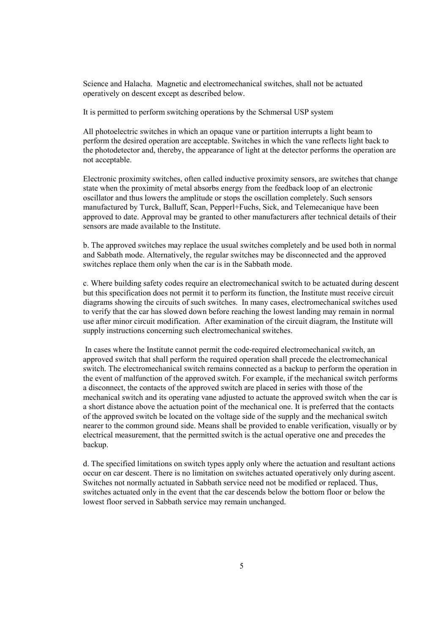Science and Halacha. Magnetic and electromechanical switches, shall not be actuated operatively on descent except as described below.

It is permitted to perform switching operations by the Schmersal USP system

All photoelectric switches in which an opaque vane or partition interrupts a light beam to perform the desired operation are acceptable. Switches in which the vane reflects light back to the photodetector and, thereby, the appearance of light at the detector performs the operation are not acceptable.

Electronic proximity switches, often called inductive proximity sensors, are switches that change state when the proximity of metal absorbs energy from the feedback loop of an electronic oscillator and thus lowers the amplitude or stops the oscillation completely. Such sensors manufactured by Turck, Balluff, Scan, Pepperl+Fuchs, Sick, and Telemecanique have been approved to date. Approval may be granted to other manufacturers after technical details of their sensors are made available to the Institute.

b. The approved switches may replace the usual switches completely and be used both in normal and Sabbath mode. Alternatively, the regular switches may be disconnected and the approved switches replace them only when the car is in the Sabbath mode.

c. Where building safety codes require an electromechanical switch to be actuated during descent but this specification does not permit it to perform its function, the Institute must receive circuit diagrams showing the circuits of such switches. In many cases, electromechanical switches used to verify that the car has slowed down before reaching the lowest landing may remain in normal use after minor circuit modification. After examination of the circuit diagram, the Institute will supply instructions concerning such electromechanical switches.

 In cases where the Institute cannot permit the code-required electromechanical switch, an approved switch that shall perform the required operation shall precede the electromechanical switch. The electromechanical switch remains connected as a backup to perform the operation in the event of malfunction of the approved switch. For example, if the mechanical switch performs a disconnect, the contacts of the approved switch are placed in series with those of the mechanical switch and its operating vane adjusted to actuate the approved switch when the car is a short distance above the actuation point of the mechanical one. It is preferred that the contacts of the approved switch be located on the voltage side of the supply and the mechanical switch nearer to the common ground side. Means shall be provided to enable verification, visually or by electrical measurement, that the permitted switch is the actual operative one and precedes the backup.

d. The specified limitations on switch types apply only where the actuation and resultant actions occur on car descent. There is no limitation on switches actuated operatively only during ascent. Switches not normally actuated in Sabbath service need not be modified or replaced. Thus, switches actuated only in the event that the car descends below the bottom floor or below the lowest floor served in Sabbath service may remain unchanged.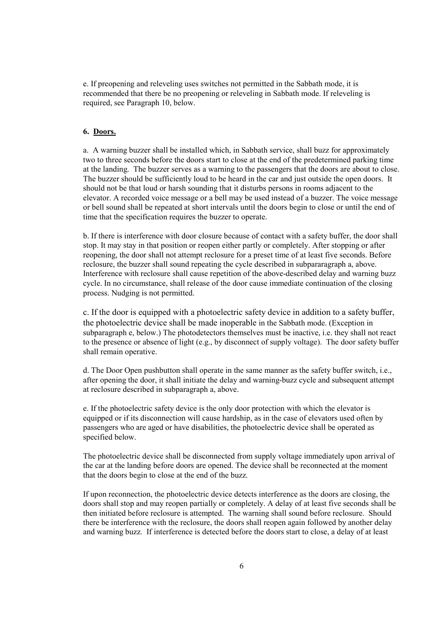e. If preopening and releveling uses switches not permitted in the Sabbath mode, it is recommended that there be no preopening or releveling in Sabbath mode. If releveling is required, see Paragraph 10, below.

# **6. Doors.**

a. A warning buzzer shall be installed which, in Sabbath service, shall buzz for approximately two to three seconds before the doors start to close at the end of the predetermined parking time at the landing. The buzzer serves as a warning to the passengers that the doors are about to close. The buzzer should be sufficiently loud to be heard in the car and just outside the open doors. It should not be that loud or harsh sounding that it disturbs persons in rooms adjacent to the elevator. A recorded voice message or a bell may be used instead of a buzzer. The voice message or bell sound shall be repeated at short intervals until the doors begin to close or until the end of time that the specification requires the buzzer to operate.

b. If there is interference with door closure because of contact with a safety buffer, the door shall stop. It may stay in that position or reopen either partly or completely. After stopping or after reopening, the door shall not attempt reclosure for a preset time of at least five seconds. Before reclosure, the buzzer shall sound repeating the cycle described in subpararagraph a, above. Interference with reclosure shall cause repetition of the above-described delay and warning buzz cycle. In no circumstance, shall release of the door cause immediate continuation of the closing process. Nudging is not permitted.

c. If the door is equipped with a photoelectric safety device in addition to a safety buffer, the photoelectric device shall be made inoperable in the Sabbath mode. (Exception in subparagraph e, below.) The photodetectors themselves must be inactive, i.e. they shall not react to the presence or absence of light (e.g., by disconnect of supply voltage). The door safety buffer shall remain operative.

d. The Door Open pushbutton shall operate in the same manner as the safety buffer switch, i.e., after opening the door, it shall initiate the delay and warning-buzz cycle and subsequent attempt at reclosure described in subparagraph a, above.

e. If the photoelectric safety device is the only door protection with which the elevator is equipped or if its disconnection will cause hardship, as in the case of elevators used often by passengers who are aged or have disabilities, the photoelectric device shall be operated as specified below.

The photoelectric device shall be disconnected from supply voltage immediately upon arrival of the car at the landing before doors are opened. The device shall be reconnected at the moment that the doors begin to close at the end of the buzz.

If upon reconnection, the photoelectric device detects interference as the doors are closing, the doors shall stop and may reopen partially or completely. A delay of at least five seconds shall be then initiated before reclosure is attempted. The warning shall sound before reclosure. Should there be interference with the reclosure, the doors shall reopen again followed by another delay and warning buzz. If interference is detected before the doors start to close, a delay of at least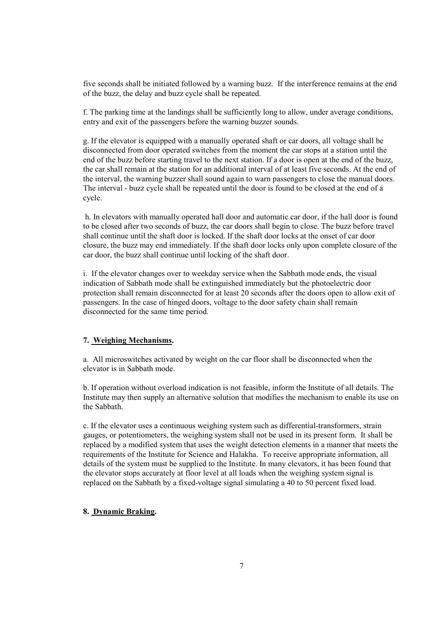five seconds shall be initiated followed by a warning buzz. If the interference remains at the end of the buzz, the delay and buzz cycle shall be repeated.

f. The parking time at the landings shall be sufficiently long to allow, under average conditions, entry and exit of the passengers before the warning buzzer sounds.

g. If the elevator is equipped with a manually operated shaft or car doors, all voltage shall be disconnected from door operated switches from the moment the car stops at a station until the end of the buzz before starting travel to the next station. If a door is open at the end of the buzz, the car shall remain at the station for an additional interval of at least five seconds. At the end of the interval, the warning buzzer shall sound again to warn passengers to close the manual doors. The interval - buzz cycle shall be repeated until the door is found to be closed at the end of a cycle.

 h. In elevators with manually operated hall door and automatic car door, if the hall door is found to be closed after two seconds of buzz, the car doors shall begin to close. The buzz before travel shall continue until the shaft door is locked. If the shaft door locks at the onset of car door closure, the buzz may end immediately. If the shaft door locks only upon complete closure of the car door, the buzz shall continue until locking of the shaft door.

i. If the elevator changes over to weekday service when the Sabbath mode ends, the visual indication of Sabbath mode shall be extinguished immediately but the photoelectric door protection shall remain disconnected for at least 20 seconds after the doors open to allow exit of passengers. In the case of hinged doors, voltage to the door safety chain shall remain disconnected for the same time period.

### **7. Weighing Mechanisms.**

a. All microswitches activated by weight on the car floor shall be disconnected when the elevator is in Sabbath mode.

b. If operation without overload indication is not feasible, inform the Institute of all details. The Institute may then supply an alternative solution that modifies the mechanism to enable its use on the Sabbath.

c. If the elevator uses a continuous weighing system such as differential-transformers, strain gauges, or potentiometers, the weighing system shall not be used in its present form. It shall be replaced by a modified system that uses the weight detection elements in a manner that meets the requirements of the Institute for Science and Halakha. To receive appropriate information, all details of the system must be supplied to the Institute. In many elevators, it has been found that the elevator stops accurately at floor level at all loads when the weighing system signal is replaced on the Sabbath by a fixed-voltage signal simulating a 40 to 50 percent fixed load.

# **8. Dynamic Braking.**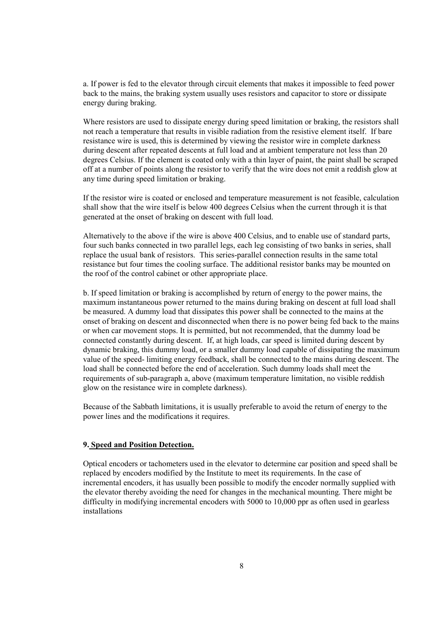a. If power is fed to the elevator through circuit elements that makes it impossible to feed power back to the mains, the braking system usually uses resistors and capacitor to store or dissipate energy during braking.

Where resistors are used to dissipate energy during speed limitation or braking, the resistors shall not reach a temperature that results in visible radiation from the resistive element itself. If bare resistance wire is used, this is determined by viewing the resistor wire in complete darkness during descent after repeated descents at full load and at ambient temperature not less than 20 degrees Celsius. If the element is coated only with a thin layer of paint, the paint shall be scraped off at a number of points along the resistor to verify that the wire does not emit a reddish glow at any time during speed limitation or braking.

If the resistor wire is coated or enclosed and temperature measurement is not feasible, calculation shall show that the wire itself is below 400 degrees Celsius when the current through it is that generated at the onset of braking on descent with full load.

Alternatively to the above if the wire is above 400 Celsius, and to enable use of standard parts, four such banks connected in two parallel legs, each leg consisting of two banks in series, shall replace the usual bank of resistors. This series-parallel connection results in the same total resistance but four times the cooling surface. The additional resistor banks may be mounted on the roof of the control cabinet or other appropriate place.

b. If speed limitation or braking is accomplished by return of energy to the power mains, the maximum instantaneous power returned to the mains during braking on descent at full load shall be measured. A dummy load that dissipates this power shall be connected to the mains at the onset of braking on descent and disconnected when there is no power being fed back to the mains or when car movement stops. It is permitted, but not recommended, that the dummy load be connected constantly during descent. If, at high loads, car speed is limited during descent by dynamic braking, this dummy load, or a smaller dummy load capable of dissipating the maximum value of the speed- limiting energy feedback, shall be connected to the mains during descent. The load shall be connected before the end of acceleration. Such dummy loads shall meet the requirements of sub-paragraph a, above (maximum temperature limitation, no visible reddish glow on the resistance wire in complete darkness).

Because of the Sabbath limitations, it is usually preferable to avoid the return of energy to the power lines and the modifications it requires.

#### **9. Speed and Position Detection.**

Optical encoders or tachometers used in the elevator to determine car position and speed shall be replaced by encoders modified by the Institute to meet its requirements. In the case of incremental encoders, it has usually been possible to modify the encoder normally supplied with the elevator thereby avoiding the need for changes in the mechanical mounting. There might be difficulty in modifying incremental encoders with 5000 to 10,000 ppr as often used in gearless installations